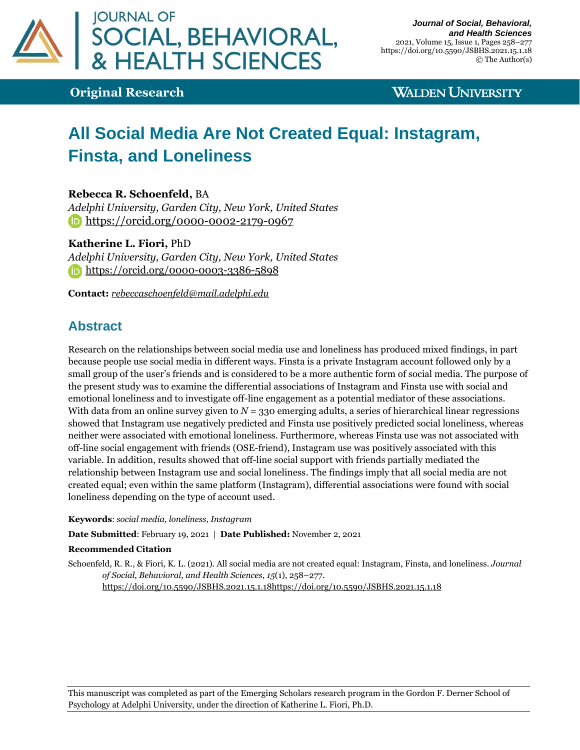

**Original Research**

## **WALDEN UNIVERSITY**

# **All Social Media Are Not Created Equal: Instagram, Finsta, and Loneliness**

**Rebecca R. Schoenfeld,** BA

*Adelphi University, Garden City, New York, United States* <https://orcid.org/0000-0002-2179-0967>

#### **Katherine L. Fiori,** PhD

*Adelphi University, Garden City, New York, United States* <https://orcid.org/0000-0003-3386-5898>

**Contact:** *[rebeccaschoenfeld@mail.adelphi.edu](mailto:rebeccaschoenfeld@mail.adelphi.edu)* 

# **Abstract**

Research on the relationships between social media use and loneliness has produced mixed findings, in part because people use social media in different ways. Finsta is a private Instagram account followed only by a small group of the user's friends and is considered to be a more authentic form of social media. The purpose of the present study was to examine the differential associations of Instagram and Finsta use with social and emotional loneliness and to investigate off-line engagement as a potential mediator of these associations. With data from an online survey given to  $N = 330$  emerging adults, a series of hierarchical linear regressions showed that Instagram use negatively predicted and Finsta use positively predicted social loneliness, whereas neither were associated with emotional loneliness. Furthermore, whereas Finsta use was not associated with off-line social engagement with friends (OSE-friend), Instagram use was positively associated with this variable. In addition, results showed that off-line social support with friends partially mediated the relationship between Instagram use and social loneliness. The findings imply that all social media are not created equal; even within the same platform (Instagram), differential associations were found with social loneliness depending on the type of account used.

#### **Keywords**: *social media, loneliness, Instagram*

**Date Submitted**: February 19, 2021 | **Date Published:** November 2, 2021

#### **Recommended Citation**

Schoenfeld, R. R., & Fiori, K. L. (2021). All social media are not created equal: Instagram, Finsta, and loneliness. *Journal of Social, Behavioral, and Health Sciences*, *15*(1), 258–277.

[https://doi.org/10.5590/JSBHS.2021.15.1.18](https://doi.org/10.5590/JSBHS.2021.15.1.xx)<https://doi.org/10.5590/JSBHS.2021.15.1.18>

This manuscript was completed as part of the Emerging Scholars research program in the Gordon F. Derner School of Psychology at Adelphi University, under the direction of Katherine L. Fiori, Ph.D.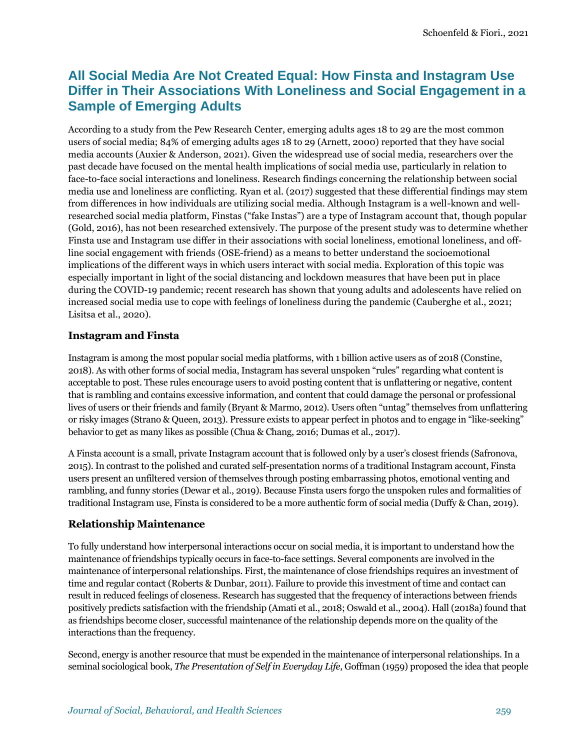# **All Social Media Are Not Created Equal: How Finsta and Instagram Use Differ in Their Associations With Loneliness and Social Engagement in a Sample of Emerging Adults**

According to a study from the Pew Research Center, emerging adults ages 18 to 29 are the most common users of social media; 84% of emerging adults ages 18 to 29 (Arnett, 2000) reported that they have social media accounts (Auxier & Anderson, 2021). Given the widespread use of social media, researchers over the past decade have focused on the mental health implications of social media use, particularly in relation to face-to-face social interactions and loneliness. Research findings concerning the relationship between social media use and loneliness are conflicting. Ryan et al. (2017) suggested that these differential findings may stem from differences in how individuals are utilizing social media. Although Instagram is a well-known and wellresearched social media platform, Finstas ("fake Instas") are a type of Instagram account that, though popular (Gold, 2016), has not been researched extensively. The purpose of the present study was to determine whether Finsta use and Instagram use differ in their associations with social loneliness, emotional loneliness, and offline social engagement with friends (OSE-friend) as a means to better understand the socioemotional implications of the different ways in which users interact with social media. Exploration of this topic was especially important in light of the social distancing and lockdown measures that have been put in place during the COVID-19 pandemic; recent research has shown that young adults and adolescents have relied on increased social media use to cope with feelings of loneliness during the pandemic (Cauberghe et al., 2021; Lisitsa et al., 2020).

#### **Instagram and Finsta**

Instagram is among the most popular social media platforms, with 1 billion active users as of 2018 (Constine, 2018). As with other forms of social media, Instagram has several unspoken "rules" regarding what content is acceptable to post. These rules encourage users to avoid posting content that is unflattering or negative, content that is rambling and contains excessive information, and content that could damage the personal or professional lives of users or their friends and family (Bryant & Marmo, 2012). Users often "untag" themselves from unflattering or risky images (Strano & Queen, 2013). Pressure exists to appear perfect in photos and to engage in "like-seeking" behavior to get as many likes as possible (Chua & Chang, 2016; Dumas et al., 2017).

A Finsta account is a small, private Instagram account that is followed only by a user's closest friends (Safronova, 2015). In contrast to the polished and curated self-presentation norms of a traditional Instagram account, Finsta users present an unfiltered version of themselves through posting embarrassing photos, emotional venting and rambling, and funny stories (Dewar et al., 2019). Because Finsta users forgo the unspoken rules and formalities of traditional Instagram use, Finsta is considered to be a more authentic form of social media (Duffy & Chan, 2019).

### **Relationship Maintenance**

To fully understand how interpersonal interactions occur on social media, it is important to understand how the maintenance of friendships typically occurs in face-to-face settings. Several components are involved in the maintenance of interpersonal relationships. First, the maintenance of close friendships requires an investment of time and regular contact (Roberts & Dunbar, 2011). Failure to provide this investment of time and contact can result in reduced feelings of closeness. Research has suggested that the frequency of interactions between friends positively predicts satisfaction with the friendship (Amati et al., 2018; Oswald et al., 2004). Hall (2018a) found that as friendships become closer, successful maintenance of the relationship depends more on the quality of the interactions than the frequency.

Second, energy is another resource that must be expended in the maintenance of interpersonal relationships. In a seminal sociological book, *The Presentation of Self in Everyday Life*, Goffman (1959) proposed the idea that people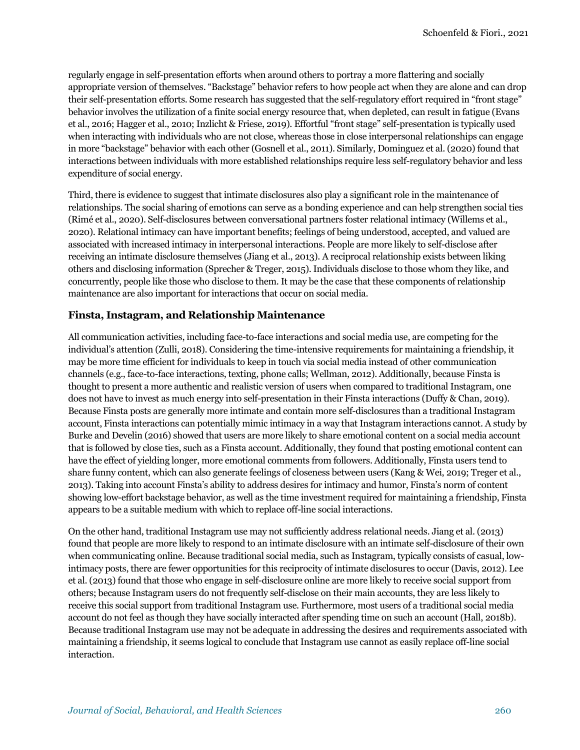regularly engage in self-presentation efforts when around others to portray a more flattering and socially appropriate version of themselves. "Backstage" behavior refers to how people act when they are alone and can drop their self-presentation efforts. Some research has suggested that the self-regulatory effort required in "front stage" behavior involves the utilization of a finite social energy resource that, when depleted, can result in fatigue (Evans et al., 2016; Hagger et al., 2010; Inzlicht & Friese, 2019). Effortful "front stage" self-presentation is typically used when interacting with individuals who are not close, whereas those in close interpersonal relationships can engage in more "backstage" behavior with each other (Gosnell et al., 2011). Similarly, Dominguez et al. (2020) found that interactions between individuals with more established relationships require less self-regulatory behavior and less expenditure of social energy.

Third, there is evidence to suggest that intimate disclosures also play a significant role in the maintenance of relationships. The social sharing of emotions can serve as a bonding experience and can help strengthen social ties (Rimé et al., 2020). Self-disclosures between conversational partners foster relational intimacy (Willems et al., 2020). Relational intimacy can have important benefits; feelings of being understood, accepted, and valued are associated with increased intimacy in interpersonal interactions. People are more likely to self-disclose after receiving an intimate disclosure themselves (Jiang et al., 2013). A reciprocal relationship exists between liking others and disclosing information (Sprecher & Treger, 2015). Individuals disclose to those whom they like, and concurrently, people like those who disclose to them. It may be the case that these components of relationship maintenance are also important for interactions that occur on social media.

#### **Finsta, Instagram, and Relationship Maintenance**

All communication activities, including face-to-face interactions and social media use, are competing for the individual's attention (Zulli, 2018). Considering the time-intensive requirements for maintaining a friendship, it may be more time efficient for individuals to keep in touch via social media instead of other communication channels (e.g., face-to-face interactions, texting, phone calls; Wellman, 2012). Additionally, because Finsta is thought to present a more authentic and realistic version of users when compared to traditional Instagram, one does not have to invest as much energy into self-presentation in their Finsta interactions (Duffy & Chan, 2019). Because Finsta posts are generally more intimate and contain more self-disclosures than a traditional Instagram account, Finsta interactions can potentially mimic intimacy in a way that Instagram interactions cannot. A study by Burke and Develin (2016) showed that users are more likely to share emotional content on a social media account that is followed by close ties, such as a Finsta account. Additionally, they found that posting emotional content can have the effect of yielding longer, more emotional comments from followers. Additionally, Finsta users tend to share funny content, which can also generate feelings of closeness between users (Kang & Wei, 2019; Treger et al., 2013). Taking into account Finsta's ability to address desires for intimacy and humor, Finsta's norm of content showing low-effort backstage behavior, as well as the time investment required for maintaining a friendship, Finsta appears to be a suitable medium with which to replace off-line social interactions.

On the other hand, traditional Instagram use may not sufficiently address relational needs. Jiang et al. (2013) found that people are more likely to respond to an intimate disclosure with an intimate self-disclosure of their own when communicating online. Because traditional social media, such as Instagram, typically consists of casual, lowintimacy posts, there are fewer opportunities for this reciprocity of intimate disclosures to occur (Davis, 2012). Lee et al. (2013) found that those who engage in self-disclosure online are more likely to receive social support from others; because Instagram users do not frequently self-disclose on their main accounts, they are less likely to receive this social support from traditional Instagram use. Furthermore, most users of a traditional social media account do not feel as though they have socially interacted after spending time on such an account (Hall, 2018b). Because traditional Instagram use may not be adequate in addressing the desires and requirements associated with maintaining a friendship, it seems logical to conclude that Instagram use cannot as easily replace off-line social interaction.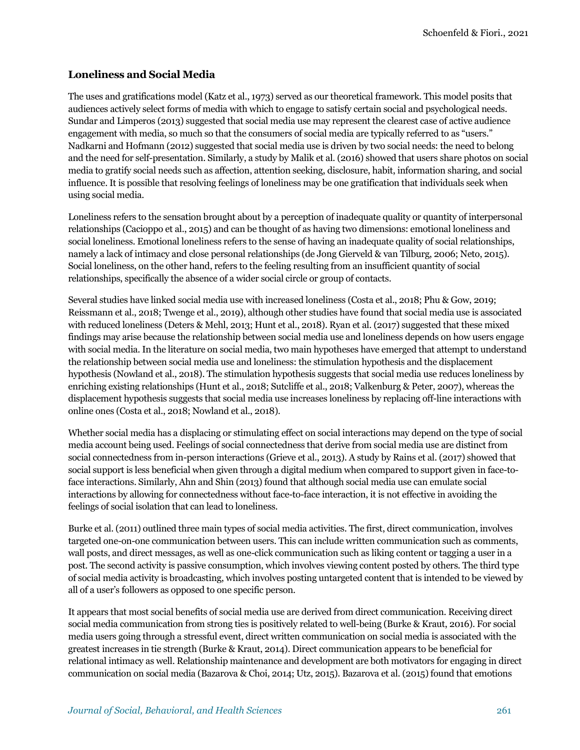#### **Loneliness and Social Media**

The uses and gratifications model (Katz et al., 1973) served as our theoretical framework. This model posits that audiences actively select forms of media with which to engage to satisfy certain social and psychological needs. Sundar and Limperos (2013) suggested that social media use may represent the clearest case of active audience engagement with media, so much so that the consumers of social media are typically referred to as "users." Nadkarni and Hofmann (2012) suggested that social media use is driven by two social needs: the need to belong and the need for self-presentation. Similarly, a study by Malik et al. (2016) showed that users share photos on social media to gratify social needs such as affection, attention seeking, disclosure, habit, information sharing, and social influence. It is possible that resolving feelings of loneliness may be one gratification that individuals seek when using social media.

Loneliness refers to the sensation brought about by a perception of inadequate quality or quantity of interpersonal relationships (Cacioppo et al., 2015) and can be thought of as having two dimensions: emotional loneliness and social loneliness. Emotional loneliness refers to the sense of having an inadequate quality of social relationships, namely a lack of intimacy and close personal relationships (de Jong Gierveld & van Tilburg, 2006; Neto, 2015). Social loneliness, on the other hand, refers to the feeling resulting from an insufficient quantity of social relationships, specifically the absence of a wider social circle or group of contacts.

Several studies have linked social media use with increased loneliness (Costa et al., 2018; Phu & Gow, 2019; Reissmann et al., 2018; Twenge et al., 2019), although other studies have found that social media use is associated with reduced loneliness (Deters & Mehl, 2013; Hunt et al., 2018). Ryan et al. (2017) suggested that these mixed findings may arise because the relationship between social media use and loneliness depends on how users engage with social media. In the literature on social media, two main hypotheses have emerged that attempt to understand the relationship between social media use and loneliness: the stimulation hypothesis and the displacement hypothesis (Nowland et al., 2018). The stimulation hypothesis suggests that social media use reduces loneliness by enriching existing relationships (Hunt et al., 2018; Sutcliffe et al., 2018; Valkenburg & Peter, 2007), whereas the displacement hypothesis suggests that social media use increases loneliness by replacing off-line interactions with online ones (Costa et al., 2018; Nowland et al., 2018).

Whether social media has a displacing or stimulating effect on social interactions may depend on the type of social media account being used. Feelings of social connectedness that derive from social media use are distinct from social connectedness from in-person interactions (Grieve et al., 2013). A study by Rains et al. (2017) showed that social support is less beneficial when given through a digital medium when compared to support given in face-toface interactions. Similarly, Ahn and Shin (2013) found that although social media use can emulate social interactions by allowing for connectedness without face-to-face interaction, it is not effective in avoiding the feelings of social isolation that can lead to loneliness.

Burke et al. (2011) outlined three main types of social media activities. The first, direct communication, involves targeted one-on-one communication between users. This can include written communication such as comments, wall posts, and direct messages, as well as one-click communication such as liking content or tagging a user in a post. The second activity is passive consumption, which involves viewing content posted by others. The third type of social media activity is broadcasting, which involves posting untargeted content that is intended to be viewed by all of a user's followers as opposed to one specific person.

It appears that most social benefits of social media use are derived from direct communication. Receiving direct social media communication from strong ties is positively related to well-being (Burke & Kraut, 2016). For social media users going through a stressful event, direct written communication on social media is associated with the greatest increases in tie strength (Burke & Kraut, 2014). Direct communication appears to be beneficial for relational intimacy as well. Relationship maintenance and development are both motivators for engaging in direct communication on social media (Bazarova & Choi, 2014; Utz, 2015). Bazarova et al. (2015) found that emotions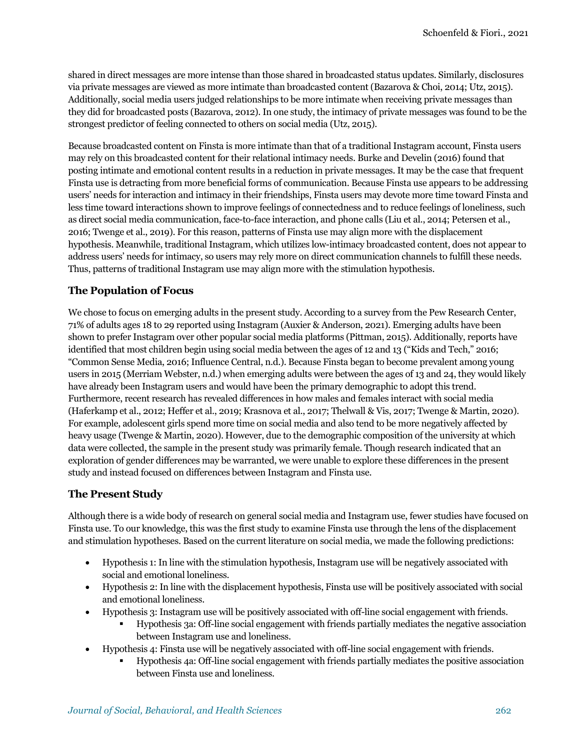shared in direct messages are more intense than those shared in broadcasted status updates. Similarly, disclosures via private messages are viewed as more intimate than broadcasted content (Bazarova & Choi, 2014; Utz, 2015). Additionally, social media users judged relationships to be more intimate when receiving private messages than they did for broadcasted posts (Bazarova, 2012). In one study, the intimacy of private messages was found to be the strongest predictor of feeling connected to others on social media (Utz, 2015).

Because broadcasted content on Finsta is more intimate than that of a traditional Instagram account, Finsta users may rely on this broadcasted content for their relational intimacy needs. Burke and Develin (2016) found that posting intimate and emotional content results in a reduction in private messages. It may be the case that frequent Finsta use is detracting from more beneficial forms of communication. Because Finsta use appears to be addressing users' needs for interaction and intimacy in their friendships, Finsta users may devote more time toward Finsta and less time toward interactions shown to improve feelings of connectedness and to reduce feelings of loneliness, such as direct social media communication, face-to-face interaction, and phone calls (Liu et al., 2014; Petersen et al., 2016; Twenge et al., 2019). For this reason, patterns of Finsta use may align more with the displacement hypothesis. Meanwhile, traditional Instagram, which utilizes low-intimacy broadcasted content, does not appear to address users' needs for intimacy, so users may rely more on direct communication channels to fulfill these needs. Thus, patterns of traditional Instagram use may align more with the stimulation hypothesis.

#### **The Population of Focus**

We chose to focus on emerging adults in the present study. According to a survey from the Pew Research Center, 71% of adults ages 18 to 29 reported using Instagram (Auxier & Anderson, 2021). Emerging adults have been shown to prefer Instagram over other popular social media platforms (Pittman, 2015). Additionally, reports have identified that most children begin using social media between the ages of 12 and 13 ("Kids and Tech," 2016; "Common Sense Media, 2016; Influence Central, n.d.). Because Finsta began to become prevalent among young users in 2015 (Merriam Webster, n.d.) when emerging adults were between the ages of 13 and 24, they would likely have already been Instagram users and would have been the primary demographic to adopt this trend. Furthermore, recent research has revealed differences in how males and females interact with social media (Haferkamp et al., 2012; Heffer et al., 2019; Krasnova et al., 2017; Thelwall & Vis, 2017; Twenge & Martin, 2020). For example, adolescent girls spend more time on social media and also tend to be more negatively affected by heavy usage (Twenge & Martin, 2020). However, due to the demographic composition of the university at which data were collected, the sample in the present study was primarily female. Though research indicated that an exploration of gender differences may be warranted, we were unable to explore these differences in the present study and instead focused on differences between Instagram and Finsta use.

#### **The Present Study**

Although there is a wide body of research on general social media and Instagram use, fewer studies have focused on Finsta use. To our knowledge, this was the first study to examine Finsta use through the lens of the displacement and stimulation hypotheses. Based on the current literature on social media, we made the following predictions:

- Hypothesis 1: In line with the stimulation hypothesis, Instagram use will be negatively associated with social and emotional loneliness.
- Hypothesis 2: In line with the displacement hypothesis, Finsta use will be positively associated with social and emotional loneliness.
- Hypothesis 3: Instagram use will be positively associated with off-line social engagement with friends.
	- Hypothesis 3a: Off-line social engagement with friends partially mediates the negative association between Instagram use and loneliness.
- Hypothesis 4: Finsta use will be negatively associated with off-line social engagement with friends.
	- Hypothesis 4a: Off-line social engagement with friends partially mediates the positive association between Finsta use and loneliness.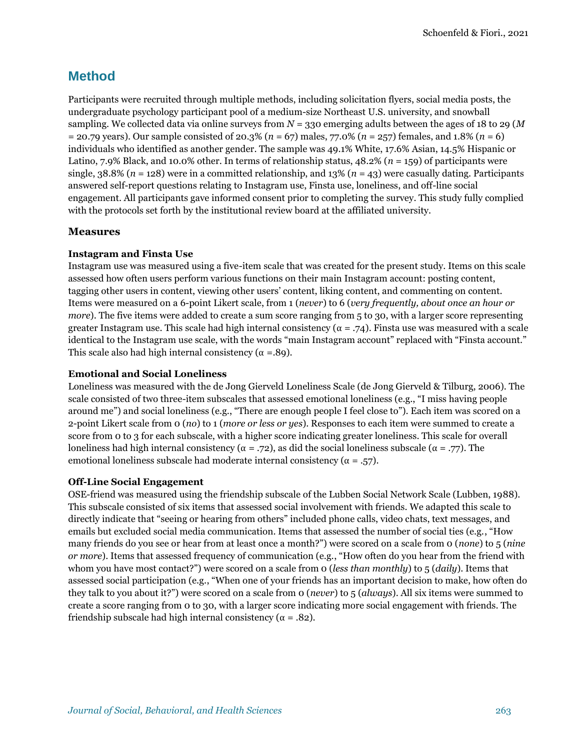# **Method**

Participants were recruited through multiple methods, including solicitation flyers, social media posts, the undergraduate psychology participant pool of a medium-size Northeast U.S. university, and snowball sampling. We collected data via online surveys from *N* = 330 emerging adults between the ages of 18 to 29 (*M* = 20.79 years). Our sample consisted of 20.3% (*n* = 67) males, 77.0% (*n* = 257) females, and 1.8% (*n* = 6) individuals who identified as another gender. The sample was 49.1% White, 17.6% Asian, 14.5% Hispanic or Latino, 7.9% Black, and 10.0% other. In terms of relationship status, 48.2% (*n* = 159) of participants were single,  $38.8\%$  ( $n = 128$ ) were in a committed relationship, and  $13\%$  ( $n = 43$ ) were casually dating. Participants answered self-report questions relating to Instagram use, Finsta use, loneliness, and off-line social engagement. All participants gave informed consent prior to completing the survey. This study fully complied with the protocols set forth by the institutional review board at the affiliated university.

#### **Measures**

#### **Instagram and Finsta Use**

Instagram use was measured using a five-item scale that was created for the present study. Items on this scale assessed how often users perform various functions on their main Instagram account: posting content, tagging other users in content, viewing other users' content, liking content, and commenting on content. Items were measured on a 6-point Likert scale, from 1 (*never*) to 6 (*very frequently, about once an hour or more*). The five items were added to create a sum score ranging from 5 to 30, with a larger score representing greater Instagram use. This scale had high internal consistency ( $\alpha$  = .74). Finsta use was measured with a scale identical to the Instagram use scale, with the words "main Instagram account" replaced with "Finsta account." This scale also had high internal consistency ( $\alpha = .89$ ).

#### **Emotional and Social Loneliness**

Loneliness was measured with the de Jong Gierveld Loneliness Scale (de Jong Gierveld & Tilburg, 2006). The scale consisted of two three-item subscales that assessed emotional loneliness (e.g., "I miss having people around me") and social loneliness (e.g., "There are enough people I feel close to"). Each item was scored on a 2-point Likert scale from 0 (*no*) to 1 (*more or less or yes*). Responses to each item were summed to create a score from 0 to 3 for each subscale, with a higher score indicating greater loneliness. This scale for overall loneliness had high internal consistency ( $\alpha$  = .72), as did the social loneliness subscale ( $\alpha$  = .77). The emotional loneliness subscale had moderate internal consistency ( $α = .57$ ).

#### **Off-Line Social Engagement**

OSE-friend was measured using the friendship subscale of the Lubben Social Network Scale (Lubben, 1988). This subscale consisted of six items that assessed social involvement with friends. We adapted this scale to directly indicate that "seeing or hearing from others" included phone calls, video chats, text messages, and emails but excluded social media communication. Items that assessed the number of social ties (e.g., "How many friends do you see or hear from at least once a month?") were scored on a scale from 0 (*none*) to 5 (*nine or more*). Items that assessed frequency of communication (e.g., "How often do you hear from the friend with whom you have most contact?") were scored on a scale from 0 (*less than monthly*) to 5 (*daily*). Items that assessed social participation (e.g., "When one of your friends has an important decision to make, how often do they talk to you about it?") were scored on a scale from 0 (*never*) to 5 (*always*). All six items were summed to create a score ranging from 0 to 30, with a larger score indicating more social engagement with friends. The friendship subscale had high internal consistency ( $\alpha = .82$ ).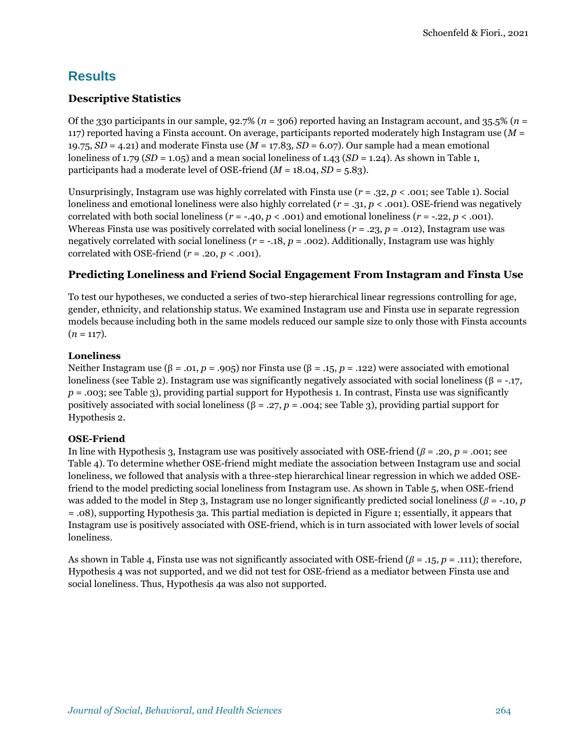# **Results**

### **Descriptive Statistics**

Of the 330 participants in our sample, 92.7% (*n* = 306) reported having an Instagram account, and 35.5% (*n* = 117) reported having a Finsta account. On average, participants reported moderately high Instagram use (*M* = 19.75, *SD* = 4.21) and moderate Finsta use (*M* = 17.83, *SD* = 6.07). Our sample had a mean emotional loneliness of 1.79 (*SD* = 1.05) and a mean social loneliness of 1.43 (*SD* = 1.24). As shown in Table 1, participants had a moderate level of OSE-friend  $(M = 18.04, SD = 5.83)$ .

Unsurprisingly, Instagram use was highly correlated with Finsta use (*r* = .32, *p* < .001; see Table 1). Social loneliness and emotional loneliness were also highly correlated ( $r = .31, p < .001$ ). OSE-friend was negatively correlated with both social loneliness  $(r = -.40, p < .001)$  and emotional loneliness  $(r = -.22, p < .001)$ . Whereas Finsta use was positively correlated with social loneliness (*r* = .23, *p* = .012), Instagram use was negatively correlated with social loneliness (*r* = -.18, *p* = .002). Additionally, Instagram use was highly correlated with OSE-friend  $(r = .20, p < .001)$ .

### **Predicting Loneliness and Friend Social Engagement From Instagram and Finsta Use**

To test our hypotheses, we conducted a series of two-step hierarchical linear regressions controlling for age, gender, ethnicity, and relationship status. We examined Instagram use and Finsta use in separate regression models because including both in the same models reduced our sample size to only those with Finsta accounts  $(n = 117)$ .

#### **Loneliness**

Neither Instagram use (β = .01, *p* = .905) nor Finsta use (β = .15, *p* = .122) were associated with emotional loneliness (see Table 2). Instagram use was significantly negatively associated with social loneliness (β = -.17, *p* = .003; see Table 3), providing partial support for Hypothesis 1. In contrast, Finsta use was significantly positively associated with social loneliness (β = .27, *p* = .004; see Table 3), providing partial support for Hypothesis 2.

#### **OSE-Friend**

In line with Hypothesis 3, Instagram use was positively associated with OSE-friend ( $\beta$  = .20,  $p$  = .001; see Table 4). To determine whether OSE-friend might mediate the association between Instagram use and social loneliness, we followed that analysis with a three-step hierarchical linear regression in which we added OSEfriend to the model predicting social loneliness from Instagram use. As shown in Table 5, when OSE-friend was added to the model in Step 3, Instagram use no longer significantly predicted social loneliness (*β* = -.10, *p* = .08), supporting Hypothesis 3a. This partial mediation is depicted in Figure 1; essentially, it appears that Instagram use is positively associated with OSE-friend, which is in turn associated with lower levels of social loneliness.

As shown in Table 4, Finsta use was not significantly associated with OSE-friend (*β* = .15, *p* = .111); therefore, Hypothesis 4 was not supported, and we did not test for OSE-friend as a mediator between Finsta use and social loneliness. Thus, Hypothesis 4a was also not supported.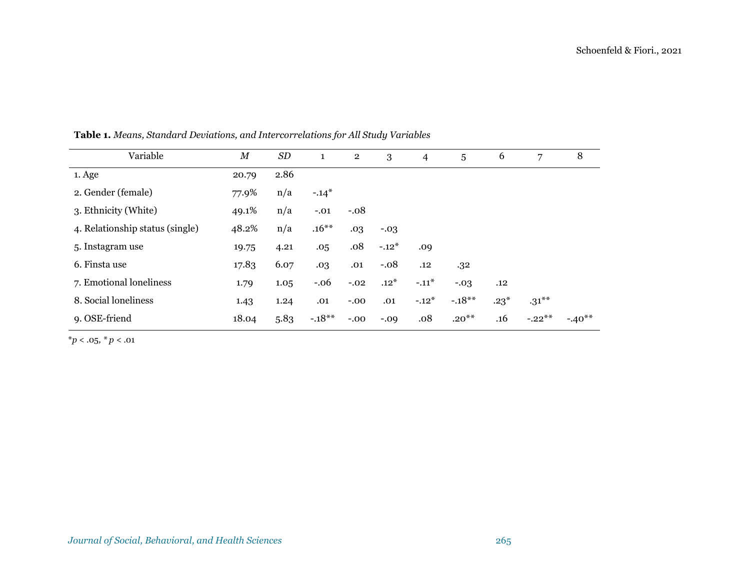| Variable                        | $\boldsymbol{M}$ | SD   | 1        | $\overline{2}$ | 3       | 4       | 5        | 6      | 7        | 8        |
|---------------------------------|------------------|------|----------|----------------|---------|---------|----------|--------|----------|----------|
| 1. Age                          | 20.79            | 2.86 |          |                |         |         |          |        |          |          |
| 2. Gender (female)              | 77.9%            | n/a  | $-.14*$  |                |         |         |          |        |          |          |
| 3. Ethnicity (White)            | 49.1%            | n/a  | $-.01$   | $-.08$         |         |         |          |        |          |          |
| 4. Relationship status (single) | 48.2%            | n/a  | $.16***$ | .03            | $-.03$  |         |          |        |          |          |
| 5. Instagram use                | 19.75            | 4.21 | .05      | .08            | $-.12*$ | .09     |          |        |          |          |
| 6. Finsta use                   | 17.83            | 6.07 | .03      | .01            | $-.08$  | .12     | .32      |        |          |          |
| 7. Emotional loneliness         | 1.79             | 1.05 | $-.06$   | $-.02$         | $.12*$  | $-.11*$ | $-.03$   | .12    |          |          |
| 8. Social loneliness            | 1.43             | 1.24 | .01      | $-0.00$        | .01     | $-.12*$ | $-.18**$ | $.23*$ | $.31***$ |          |
| 9. OSE-friend                   | 18.04            | 5.83 | $-.18**$ | $-.00$         | $-0.09$ | .08     | $.20***$ | .16    | $-.22**$ | $-.40**$ |

**Table 1.** *Means, Standard Deviations, and Intercorrelations for All Study Variables*

\**p* < .05*, \* p <* .01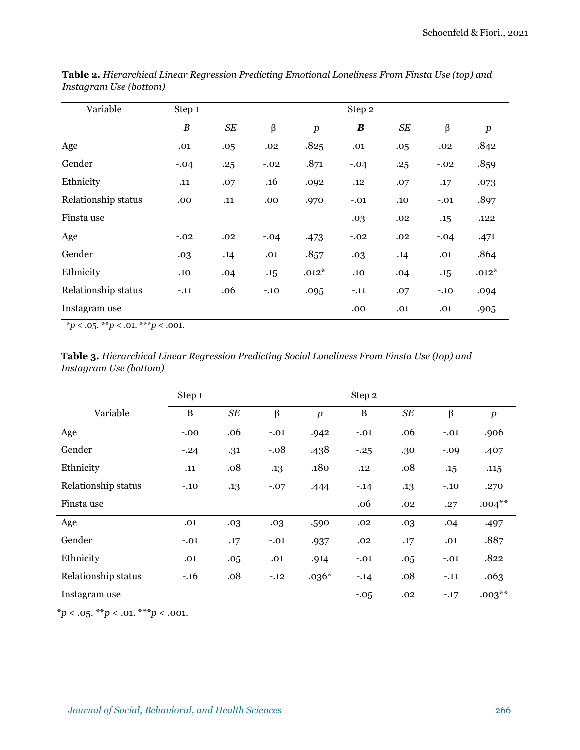| Variable            | Step 1           |     |        |                  | Step 2           |     |         |                  |
|---------------------|------------------|-----|--------|------------------|------------------|-----|---------|------------------|
|                     | $\boldsymbol{B}$ | SE  | β      | $\boldsymbol{p}$ | $\boldsymbol{B}$ | SE  | $\beta$ | $\boldsymbol{p}$ |
| Age                 | .01              | .05 | .02    | .825             | .01              | .05 | .02     | .842             |
| Gender              | $-.04$           | .25 | $-.02$ | .871             | $-.04$           | .25 | $-.02$  | .859             |
| Ethnicity           | .11              | .07 | .16    | .092             | .12              | .07 | .17     | .073             |
| Relationship status | .00              | .11 | .00    | .970             | $-.01$           | .10 | $-.01$  | .897             |
| Finsta use          |                  |     |        |                  | .03              | .02 | .15     | .122             |
| Age                 | $-.02$           | .02 | $-.04$ | .473             | $-.02$           | .02 | $-.04$  | .471             |
| Gender              | .03              | .14 | .01    | .857             | .03              | .14 | .01     | .864             |
| Ethnicity           | .10              | .04 | .15    | $.012*$          | .10              | .04 | .15     | $.012*$          |
| Relationship status | $-.11$           | .06 | $-.10$ | .095             | $-.11$           | .07 | $-.10$  | .094             |
| Instagram use       |                  |     |        |                  | .00              | .01 | .01     | .905             |

**Table 2.** *Hierarchical Linear Regression Predicting Emotional Loneliness From Finsta Use (top) and Instagram Use (bottom)*

 $*p < .05.$   $**p < .01.$   $***p < .001.$ 

|                        | <b>Table 3.</b> Hierarchical Linear Regression Predicting Social Loneliness From Finsta Use (top) and |  |  |
|------------------------|-------------------------------------------------------------------------------------------------------|--|--|
| Instagram Use (bottom) |                                                                                                       |  |  |

|                     | Step 1 |     |         |                  | Step 2   |         |         |                  |
|---------------------|--------|-----|---------|------------------|----------|---------|---------|------------------|
| Variable            | B      | SE  | $\beta$ | $\boldsymbol{p}$ | $\bf{B}$ | SE      | β       | $\boldsymbol{p}$ |
| Age                 | $-.00$ | .06 | $-.01$  | .942             | $-.01$   | .06     | $-.01$  | .906             |
| Gender              | $-.24$ | .31 | $-.08$  | .438             | $-25$    | .30     | $-0.09$ | .407             |
| Ethnicity           | .11    | .08 | .13     | .180             | .12      | .08     | .15     | .115             |
| Relationship status | $-.10$ | .13 | $-.07$  | .444             | $-.14$   | $.13\,$ | $-.10$  | .270             |
| Finsta use          |        |     |         |                  | .06      | .02     | .27     | $.004***$        |
| Age                 | .01    | .03 | .03     | .590             | .02      | .03     | .04     | .497             |
| Gender              | $-.01$ | .17 | $-.01$  | .937             | .02      | .17     | .01     | .887             |
| Ethnicity           | .01    | .05 | .01     | .914             | $-.01$   | .05     | $-.01$  | .822             |
| Relationship status | $-.16$ | .08 | $-.12$  | $.036*$          | $-.14$   | .08     | $-.11$  | .063             |
| Instagram use       |        |     |         |                  | $-.05$   | .02     | $-.17$  | $.003***$        |

 $**p* < .05. ***p* < .01. ****p* < .001.$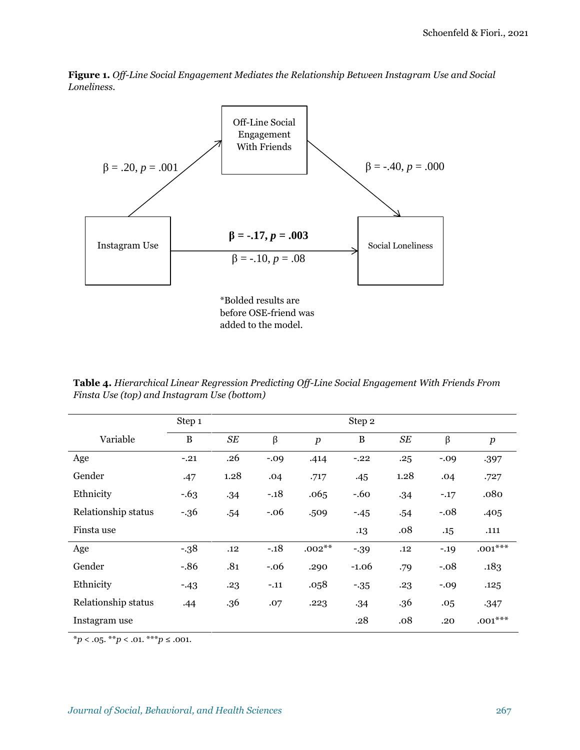**Figure 1.** *Off-Line Social Engagement Mediates the Relationship Between Instagram Use and Social Loneliness*.



added to the model.

**Table 4.** *Hierarchical Linear Regression Predicting Off-Line Social Engagement With Friends From Finsta Use (top) and Instagram Use (bottom)*

|                     | Step 1  |      |         |                  | Step 2       |      |         |                  |
|---------------------|---------|------|---------|------------------|--------------|------|---------|------------------|
| Variable            | B       | SE   | β       | $\boldsymbol{p}$ | $\, {\bf B}$ | SE   | $\beta$ | $\boldsymbol{p}$ |
| Age                 | $-.21$  | .26  | $-0.09$ | .414             | $-.22$       | .25  | $-.09$  | .397             |
| Gender              | .47     | 1.28 | .04     | .717             | .45          | 1.28 | .04     | .727             |
| Ethnicity           | $-0.63$ | .34  | $-.18$  | .065             | $-60$        | .34  | $-.17$  | .080             |
| Relationship status | $-36$   | .54  | $-.06$  | .509             | $-45$        | .54  | $-.08$  | .405             |
| Finsta use          |         |      |         |                  | .13          | .08  | .15     | .111             |
| Age                 | $-38$   | .12  | $-.18$  | $.002**$         | $-39$        | .12  | $-.19$  | $.001***$        |
| Gender              | $-.86$  | .81  | $-.06$  | .290             | $-1.06$      | .79  | $-.08$  | .183             |
| Ethnicity           | $-43$   | .23  | $-.11$  | .058             | $-35$        | .23  | $-0.09$ | .125             |
| Relationship status | .44     | .36  | .07     | .223             | .34          | .36  | .05     | .347             |
| Instagram use       |         |      |         |                  | .28          | .08  | .20     | $.001***$        |

 $*p < .05.$  \*\**p* < .01. \*\*\**p* ≤ .001.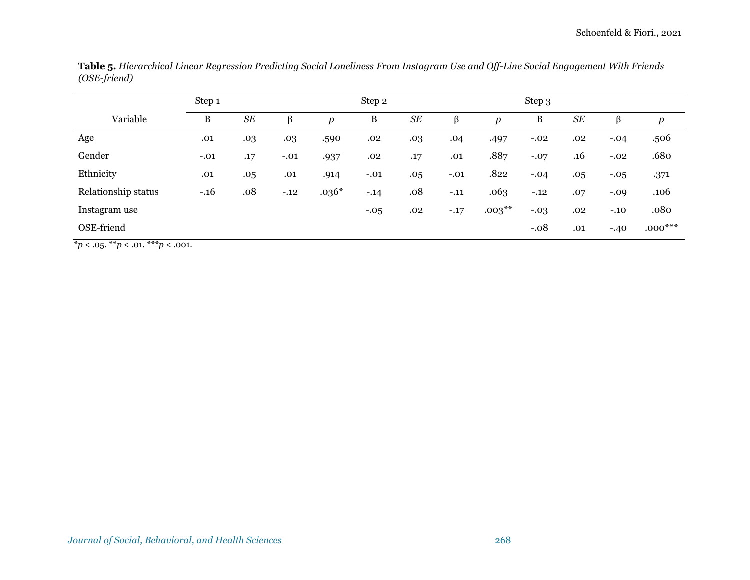|                     | Step 1 |           |        |         | Step 2  |                      |         |                  | Step 3 |           |         |           |
|---------------------|--------|-----------|--------|---------|---------|----------------------|---------|------------------|--------|-----------|---------|-----------|
| Variable            | B      | <b>SE</b> | β      | p       | B       | $S\hspace{-0.08em}E$ | $\beta$ | $\boldsymbol{p}$ | B      | <b>SE</b> | β       | p         |
| Age                 | .01    | .03       | .03    | .590    | .02     | .03                  | .04     | .497             | $-.02$ | .02       | $-.04$  | .506      |
| Gender              | $-.01$ | .17       | $-.01$ | .937    | .02     | .17                  | .01     | .887             | $-.07$ | .16       | $-.02$  | .680      |
| Ethnicity           | .01    | .05       | .01    | .914    | $-.01$  | .05                  | $-.01$  | .822             | $-.04$ | .05       | $-0.05$ | .371      |
| Relationship status | $-.16$ | .08       | $-.12$ | $.036*$ | $-.14$  | .08                  | $-.11$  | .063             | $-.12$ | .07       | $-.09$  | .106      |
| Instagram use       |        |           |        |         | $-0.05$ | .02                  | $-.17$  | $.003***$        | $-.03$ | .02       | $-.10$  | .080      |
| OSE-friend          |        |           |        |         |         |                      |         |                  | $-.08$ | .01       | $-40$   | $.000***$ |

**Table 5.** *Hierarchical Linear Regression Predicting Social Loneliness From Instagram Use and Off-Line Social Engagement With Friends (OSE-friend)*

 $*_{p < .05.} * p < .01. * * p < .001.$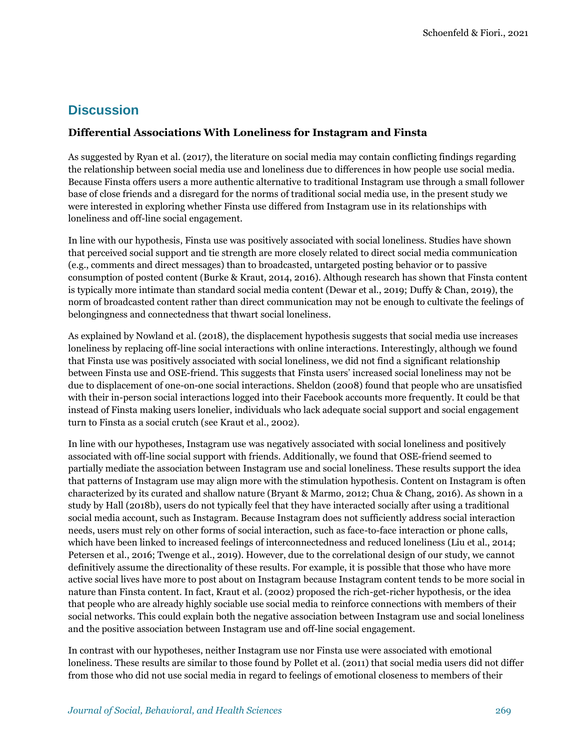### **Discussion**

#### **Differential Associations With Loneliness for Instagram and Finsta**

As suggested by Ryan et al. (2017), the literature on social media may contain conflicting findings regarding the relationship between social media use and loneliness due to differences in how people use social media. Because Finsta offers users a more authentic alternative to traditional Instagram use through a small follower base of close friends and a disregard for the norms of traditional social media use, in the present study we were interested in exploring whether Finsta use differed from Instagram use in its relationships with loneliness and off-line social engagement.

In line with our hypothesis, Finsta use was positively associated with social loneliness. Studies have shown that perceived social support and tie strength are more closely related to direct social media communication (e.g., comments and direct messages) than to broadcasted, untargeted posting behavior or to passive consumption of posted content (Burke & Kraut, 2014, 2016). Although research has shown that Finsta content is typically more intimate than standard social media content (Dewar et al., 2019; Duffy & Chan, 2019), the norm of broadcasted content rather than direct communication may not be enough to cultivate the feelings of belongingness and connectedness that thwart social loneliness.

As explained by Nowland et al. (2018), the displacement hypothesis suggests that social media use increases loneliness by replacing off-line social interactions with online interactions. Interestingly, although we found that Finsta use was positively associated with social loneliness, we did not find a significant relationship between Finsta use and OSE-friend. This suggests that Finsta users' increased social loneliness may not be due to displacement of one-on-one social interactions. Sheldon (2008) found that people who are unsatisfied with their in-person social interactions logged into their Facebook accounts more frequently. It could be that instead of Finsta making users lonelier, individuals who lack adequate social support and social engagement turn to Finsta as a social crutch (see Kraut et al., 2002).

In line with our hypotheses, Instagram use was negatively associated with social loneliness and positively associated with off-line social support with friends. Additionally, we found that OSE-friend seemed to partially mediate the association between Instagram use and social loneliness. These results support the idea that patterns of Instagram use may align more with the stimulation hypothesis. Content on Instagram is often characterized by its curated and shallow nature (Bryant & Marmo, 2012; Chua & Chang, 2016). As shown in a study by Hall (2018b), users do not typically feel that they have interacted socially after using a traditional social media account, such as Instagram. Because Instagram does not sufficiently address social interaction needs, users must rely on other forms of social interaction, such as face-to-face interaction or phone calls, which have been linked to increased feelings of interconnectedness and reduced loneliness (Liu et al., 2014; Petersen et al., 2016; Twenge et al., 2019). However, due to the correlational design of our study, we cannot definitively assume the directionality of these results. For example, it is possible that those who have more active social lives have more to post about on Instagram because Instagram content tends to be more social in nature than Finsta content. In fact, Kraut et al. (2002) proposed the rich-get-richer hypothesis, or the idea that people who are already highly sociable use social media to reinforce connections with members of their social networks. This could explain both the negative association between Instagram use and social loneliness and the positive association between Instagram use and off-line social engagement.

In contrast with our hypotheses, neither Instagram use nor Finsta use were associated with emotional loneliness. These results are similar to those found by Pollet et al. (2011) that social media users did not differ from those who did not use social media in regard to feelings of emotional closeness to members of their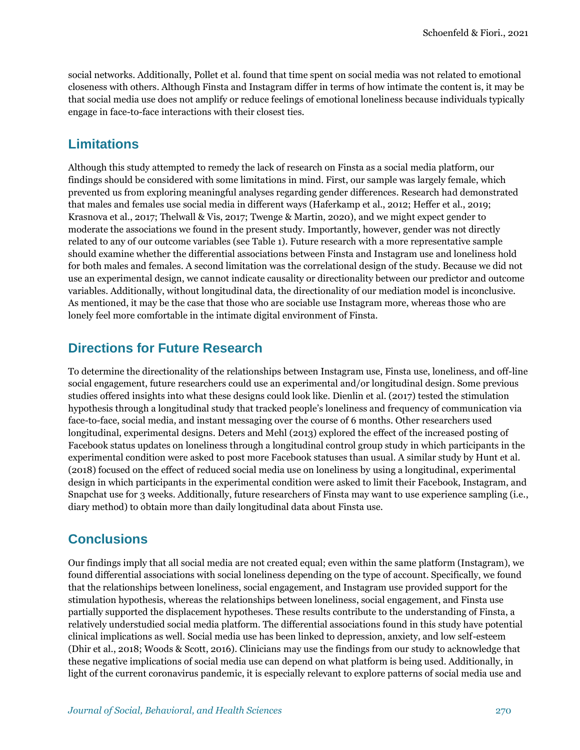social networks. Additionally, Pollet et al. found that time spent on social media was not related to emotional closeness with others. Although Finsta and Instagram differ in terms of how intimate the content is, it may be that social media use does not amplify or reduce feelings of emotional loneliness because individuals typically engage in face-to-face interactions with their closest ties.

### **Limitations**

Although this study attempted to remedy the lack of research on Finsta as a social media platform, our findings should be considered with some limitations in mind. First, our sample was largely female, which prevented us from exploring meaningful analyses regarding gender differences. Research had demonstrated that males and females use social media in different ways (Haferkamp et al., 2012; Heffer et al., 2019; Krasnova et al., 2017; Thelwall & Vis, 2017; Twenge & Martin, 2020), and we might expect gender to moderate the associations we found in the present study. Importantly, however, gender was not directly related to any of our outcome variables (see Table 1). Future research with a more representative sample should examine whether the differential associations between Finsta and Instagram use and loneliness hold for both males and females. A second limitation was the correlational design of the study. Because we did not use an experimental design, we cannot indicate causality or directionality between our predictor and outcome variables. Additionally, without longitudinal data, the directionality of our mediation model is inconclusive. As mentioned, it may be the case that those who are sociable use Instagram more, whereas those who are lonely feel more comfortable in the intimate digital environment of Finsta.

### **Directions for Future Research**

To determine the directionality of the relationships between Instagram use, Finsta use, loneliness, and off-line social engagement, future researchers could use an experimental and/or longitudinal design. Some previous studies offered insights into what these designs could look like. Dienlin et al. (2017) tested the stimulation hypothesis through a longitudinal study that tracked people's loneliness and frequency of communication via face-to-face, social media, and instant messaging over the course of 6 months. Other researchers used longitudinal, experimental designs. Deters and Mehl (2013) explored the effect of the increased posting of Facebook status updates on loneliness through a longitudinal control group study in which participants in the experimental condition were asked to post more Facebook statuses than usual. A similar study by Hunt et al. (2018) focused on the effect of reduced social media use on loneliness by using a longitudinal, experimental design in which participants in the experimental condition were asked to limit their Facebook, Instagram, and Snapchat use for 3 weeks. Additionally, future researchers of Finsta may want to use experience sampling (i.e., diary method) to obtain more than daily longitudinal data about Finsta use.

### **Conclusions**

Our findings imply that all social media are not created equal; even within the same platform (Instagram), we found differential associations with social loneliness depending on the type of account. Specifically, we found that the relationships between loneliness, social engagement, and Instagram use provided support for the stimulation hypothesis, whereas the relationships between loneliness, social engagement, and Finsta use partially supported the displacement hypotheses. These results contribute to the understanding of Finsta, a relatively understudied social media platform. The differential associations found in this study have potential clinical implications as well. Social media use has been linked to depression, anxiety, and low self-esteem (Dhir et al., 2018; Woods & Scott, 2016). Clinicians may use the findings from our study to acknowledge that these negative implications of social media use can depend on what platform is being used. Additionally, in light of the current coronavirus pandemic, it is especially relevant to explore patterns of social media use and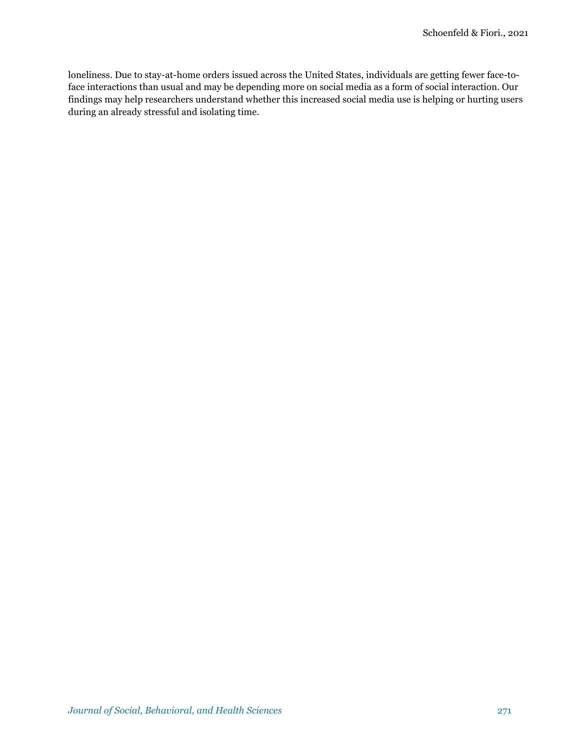loneliness. Due to stay-at-home orders issued across the United States, individuals are getting fewer face-toface interactions than usual and may be depending more on social media as a form of social interaction. Our findings may help researchers understand whether this increased social media use is helping or hurting users during an already stressful and isolating time.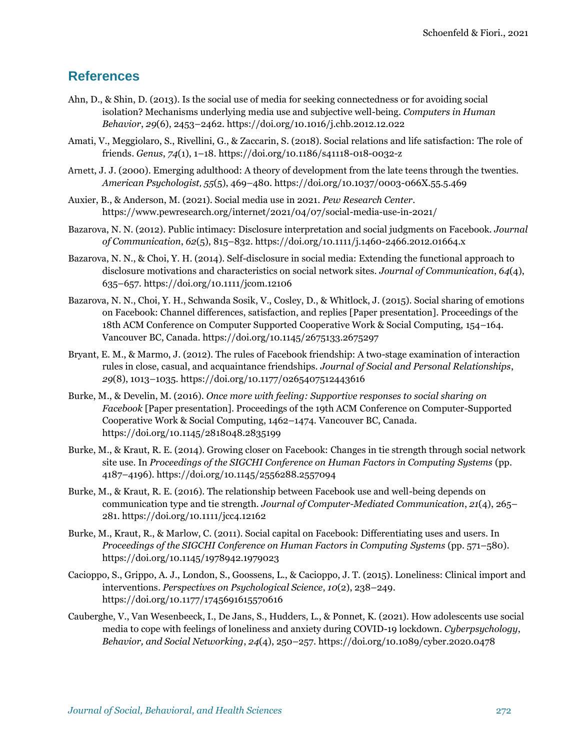### **References**

- Ahn, D., & Shin, D. (2013). Is the social use of media for seeking connectedness or for avoiding social isolation? Mechanisms underlying media use and subjective well-being. *Computers in Human Behavior*, *29*(6), 2453–2462[. https://doi.org/10.1016/j.chb.2012.12.022](https://doi.org/10.1016/j.chb.2012.12.022)
- Amati, V., Meggiolaro, S., Rivellini, G., & Zaccarin, S. (2018). Social relations and life satisfaction: The role of friends. *Genus*, *74*(1), 1–18. <https://doi.org/10.1186/s41118-018-0032-z>
- Arnett, J. J. (2000). Emerging adulthood: A theory of development from the late teens through the twenties. *American Psychologist*, *55*(5), 469–480. [https://doi.org/10.1037/0003-066X.55.5.469](https://psycnet.apa.org/doi/10.1037/0003-066X.55.5.469)
- Auxier, B., & Anderson, M. (2021). Social media use in 2021. *Pew Research Center*. <https://www.pewresearch.org/internet/2021/04/07/social-media-use-in-2021/>
- Bazarova, N. N. (2012). Public intimacy: Disclosure interpretation and social judgments on Facebook. *Journal of Communication*, *62*(5), 815–832[. https://doi.org/10.1111/j.1460-2466.2012.01664.x](https://doi.org/10.1111/j.1460-2466.2012.01664.x)
- Bazarova, N. N., & Choi, Y. H. (2014). Self-disclosure in social media: Extending the functional approach to disclosure motivations and characteristics on social network sites. *Journal of Communication*, *64*(4), 635–657.<https://doi.org/10.1111/jcom.12106>
- Bazarova, N. N., Choi, Y. H., Schwanda Sosik, V., Cosley, D., & Whitlock, J. (2015). Social sharing of emotions on Facebook: Channel differences, satisfaction, and replies [Paper presentation]. Proceedings of the 18th ACM Conference on Computer Supported Cooperative Work & Social Computing, 154–164. Vancouver BC, Canada.<https://doi.org/10.1145/2675133.2675297>
- Bryant, E. M., & Marmo, J. (2012). The rules of Facebook friendship: A two-stage examination of interaction rules in close, casual, and acquaintance friendships. *Journal of Social and Personal Relationships*, *29*(8), 1013–1035. [https://doi.org/10.1177/0265407512443616](https://doi.org/10.1177%2F0265407512443616)
- Burke, M., & Develin, M. (2016). *Once more with feeling: Supportive responses to social sharing on Facebook* [Paper presentation]. Proceedings of the 19th ACM Conference on Computer-Supported Cooperative Work & Social Computing, 1462–1474. Vancouver BC, Canada. <https://doi.org/10.1145/2818048.2835199>
- Burke, M., & Kraut, R. E. (2014). Growing closer on Facebook: Changes in tie strength through social network site use. In *Proceedings of the SIGCHI Conference on Human Factors in Computing Systems* (pp. 4187–4196)[. https://doi.org/10.1145/2556288.2557094](https://doi.org/10.1145/2556288.2557094)
- Burke, M., & Kraut, R. E. (2016). The relationship between Facebook use and well-being depends on communication type and tie strength. *Journal of Computer-Mediated Communication*, *21*(4), 265– 281.<https://doi.org/10.1111/jcc4.12162>
- Burke, M., Kraut, R., & Marlow, C. (2011). Social capital on Facebook: Differentiating uses and users. In *Proceedings of the SIGCHI Conference on Human Factors in Computing Systems* (pp. 571–580). <https://doi.org/10.1145/1978942.1979023>
- Cacioppo, S., Grippo, A. J., London, S., Goossens, L., & Cacioppo, J. T. (2015). Loneliness: Clinical import and interventions. *Perspectives on Psychological Science*, *10*(2), 238–249. [https://doi.org/10.1177/1745691615570616](https://doi.org/10.1177%2F1745691615570616)
- Cauberghe, V., Van Wesenbeeck, I., De Jans, S., Hudders, L., & Ponnet, K. (2021). How adolescents use social media to cope with feelings of loneliness and anxiety during COVID-19 lockdown. *Cyberpsychology*, *Behavior, and Social Networking*, *24*(4), 250–257.<https://doi.org/10.1089/cyber.2020.0478>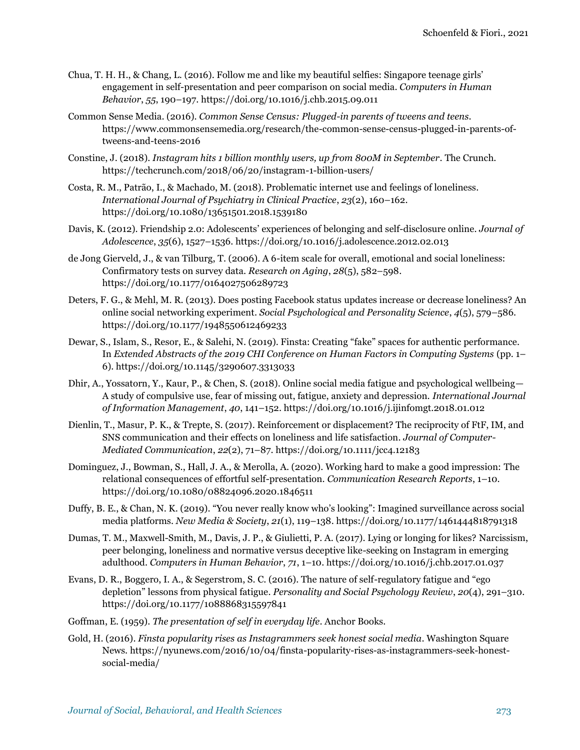- Chua, T. H. H., & Chang, L. (2016). Follow me and like my beautiful selfies: Singapore teenage girls' engagement in self-presentation and peer comparison on social media. *Computers in Human Behavior*, *55*, 190–197.<https://doi.org/10.1016/j.chb.2015.09.011>
- Common Sense Media. (2016). *Common Sense Census: Plugged-in parents of tweens and teens*. [https://www.commonsensemedia.org/research/the-common-sense-census-plugged-in-parents-of](https://www.commonsensemedia.org/research/the-common-sense-census-plugged-in-parents-of-tweens-and-teens-2016)[tweens-and-teens-2016](https://www.commonsensemedia.org/research/the-common-sense-census-plugged-in-parents-of-tweens-and-teens-2016)
- Constine, J. (2018). *Instagram hits 1 billion monthly users, up from 800M in September*. The Crunch. <https://techcrunch.com/2018/06/20/instagram-1-billion-users/>
- Costa, R. M., Patrão, I., & Machado, M. (2018). Problematic internet use and feelings of loneliness. *International Journal of Psychiatry in Clinical Practice*, *23*(2), 160–162. <https://doi.org/10.1080/13651501.2018.1539180>
- Davis, K. (2012). Friendship 2.0: Adolescents' experiences of belonging and self-disclosure online. *Journal of Adolescence*, *35*(6), 1527–1536.<https://doi.org/10.1016/j.adolescence.2012.02.013>
- de Jong Gierveld, J., & van Tilburg, T. (2006). A 6-item scale for overall, emotional and social loneliness: Confirmatory tests on survey data. *Research on Aging*, *28*(5), 582–598. [https://doi.org/10.1177/0164027506289723](https://doi.org/10.1177%2F0164027506289723)
- Deters, F. G., & Mehl, M. R. (2013). Does posting Facebook status updates increase or decrease loneliness? An online social networking experiment. *Social Psychological and Personality Science*, *4*(5), 579–586. [https://doi.org/10.1177/1948550612469233](https://doi.org/10.1177%2F1948550612469233)
- Dewar, S., Islam, S., Resor, E., & Salehi, N. (2019). Finsta: Creating "fake" spaces for authentic performance. In *Extended Abstracts of the 2019 CHI Conference on Human Factors in Computing Systems* (pp. 1– 6)[. https://doi.org/10.1145/3290607.3313033](https://doi.org/10.1145/3290607.3313033)
- Dhir, A., Yossatorn, Y., Kaur, P., & Chen, S. (2018). Online social media fatigue and psychological wellbeing— A study of compulsive use, fear of missing out, fatigue, anxiety and depression. *International Journal of Information Management*, *40*, 141–152. <https://doi.org/10.1016/j.ijinfomgt.2018.01.012>
- Dienlin, T., Masur, P. K., & Trepte, S. (2017). Reinforcement or displacement? The reciprocity of FtF, IM, and SNS communication and their effects on loneliness and life satisfaction. *Journal of Computer-Mediated Communication*, *22*(2), 71–87.<https://doi.org/10.1111/jcc4.12183>
- Dominguez, J., Bowman, S., Hall, J. A., & Merolla, A. (2020). Working hard to make a good impression: The relational consequences of effortful self-presentation. *Communication Research Reports*, 1–10. <https://doi.org/10.1080/08824096.2020.1846511>
- Duffy, B. E., & Chan, N. K. (2019). "You never really know who's looking": Imagined surveillance across social media platforms. *New Media & Society*, *21*(1), 119–138. [https://doi.org/10.1177/1461444818791318](https://doi.org/10.1177%2F1461444818791318)
- Dumas, T. M., Maxwell-Smith, M., Davis, J. P., & Giulietti, P. A. (2017). Lying or longing for likes? Narcissism, peer belonging, loneliness and normative versus deceptive like-seeking on Instagram in emerging adulthood. *Computers in Human Behavior*, *71*, 1–10[. https://doi.org/10.1016/j.chb.2017.01.037](https://doi.org/10.1016/j.chb.2017.01.037)
- Evans, D. R., Boggero, I. A., & Segerstrom, S. C. (2016). The nature of self-regulatory fatigue and "ego depletion" lessons from physical fatigue. *Personality and Social Psychology Review*, *20*(4), 291–310. [https://doi.org/10.1177/1088868315597841](https://doi.org/10.1177%2F1088868315597841)
- Goffman, E. (1959). *The presentation of self in everyday life*. Anchor Books.
- Gold, H. (2016). *Finsta popularity rises as Instagrammers seek honest social media*. Washington Square News. [https://nyunews.com/2016/10/04/finsta-popularity-rises-as-instagrammers-seek-honest](https://nyunews.com/2016/10/04/finsta-popularity-rises-as-instagrammers-seek-honest-social-media/)[social-media/](https://nyunews.com/2016/10/04/finsta-popularity-rises-as-instagrammers-seek-honest-social-media/)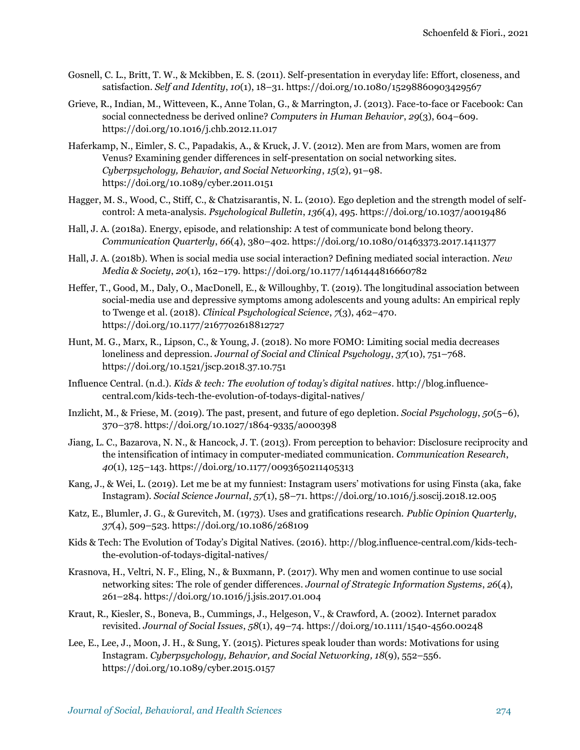- Gosnell, C. L., Britt, T. W., & Mckibben, E. S. (2011). Self-presentation in everyday life: Effort, closeness, and satisfaction. *Self and Identity*, *10*(1), 18–31.<https://doi.org/10.1080/15298860903429567>
- Grieve, R., Indian, M., Witteveen, K., Anne Tolan, G., & Marrington, J. (2013). Face-to-face or Facebook: Can social connectedness be derived online? *Computers in Human Behavior*, *29*(3), 604–609. <https://doi.org/10.1016/j.chb.2012.11.017>
- Haferkamp, N., Eimler, S. C., Papadakis, A., & Kruck, J. V. (2012). Men are from Mars, women are from Venus? Examining gender differences in self-presentation on social networking sites. *Cyberpsychology, Behavior, and Social Networking*, *15*(2), 91–98. <https://doi.org/10.1089/cyber.2011.0151>
- Hagger, M. S., Wood, C., Stiff, C., & Chatzisarantis, N. L. (2010). Ego depletion and the strength model of selfcontrol: A meta-analysis. *Psychological Bulletin*, *136*(4), 495.<https://doi.org/10.1037/a0019486>
- Hall, J. A. (2018a). Energy, episode, and relationship: A test of communicate bond belong theory. *Communication Quarterly*, *66*(4), 380–402.<https://doi.org/10.1080/01463373.2017.1411377>
- Hall, J. A. (2018b). When is social media use social interaction? Defining mediated social interaction. *New Media & Society*, *20*(1), 162–179. [https://doi.org/10.1177/1461444816660782](https://doi.org/10.1177%2F1461444816660782)
- Heffer, T., Good, M., Daly, O., MacDonell, E., & Willoughby, T. (2019). The longitudinal association between social-media use and depressive symptoms among adolescents and young adults: An empirical reply to Twenge et al. (2018). *Clinical Psychological Science*, *7*(3), 462–470. <https://doi.org/10.1177/2167702618812727>
- Hunt, M. G., Marx, R., Lipson, C., & Young, J. (2018). No more FOMO: Limiting social media decreases loneliness and depression. *Journal of Social and Clinical Psychology*, *37*(10), 751–768. <https://doi.org/10.1521/jscp.2018.37.10.751>
- Influence Central. (n.d.). *Kids & tech: The evolution of today's digital natives*. [http://blog.influence](http://blog.influence-central.com/kids-tech-the-evolution-of-todays-digital-natives/)[central.com/kids-tech-the-evolution-of-todays-digital-natives/](http://blog.influence-central.com/kids-tech-the-evolution-of-todays-digital-natives/)
- Inzlicht, M., & Friese, M. (2019). The past, present, and future of ego depletion. *Social Psychology*, *50*(5–6), 370–378. <https://doi.org/10.1027/1864-9335/a000398>
- Jiang, L. C., Bazarova, N. N., & Hancock, J. T. (2013). From perception to behavior: Disclosure reciprocity and the intensification of intimacy in computer-mediated communication. *Communication Research*, *40*(1), 125–143. [https://doi.org/10.1177/0093650211405313](https://doi.org/10.1177%2F0093650211405313)
- Kang, J., & Wei, L. (2019). Let me be at my funniest: Instagram users' motivations for using Finsta (aka, fake Instagram). *Social Science Journal*, *57*(1), 58–71.<https://doi.org/10.1016/j.soscij.2018.12.005>
- Katz, E., Blumler, J. G., & Gurevitch, M. (1973). Uses and gratifications research. *Public Opinion Quarterly*, *37*(4), 509–523.<https://doi.org/10.1086/268109>
- Kids & Tech: The Evolution of Today's Digital Natives. (2016). [http://blog.influence-central.com/kids-tech](http://blog.influence-central.com/kids-tech-the-evolution-of-todays-digital-natives/)[the-evolution-of-todays-digital-natives/](http://blog.influence-central.com/kids-tech-the-evolution-of-todays-digital-natives/)
- Krasnova, H., Veltri, N. F., Eling, N., & Buxmann, P. (2017). Why men and women continue to use social networking sites: The role of gender differences. *Journal of Strategic Information Systems*, *26*(4), 261–284.<https://doi.org/10.1016/j.jsis.2017.01.004>
- Kraut, R., Kiesler, S., Boneva, B., Cummings, J., Helgeson, V., & Crawford, A. (2002). Internet paradox revisited. *Journal of Social Issues*, *58*(1), 49–74[. https://doi.org/10.1111/1540-4560.00248](https://doi.org/10.1111/1540-4560.00248)
- Lee, E., Lee, J., Moon, J. H., & Sung, Y. (2015). Pictures speak louder than words: Motivations for using Instagram. *Cyberpsychology, Behavior, and Social Networking, 18*(9), 552–556. <https://doi.org/10.1089/cyber.2015.0157>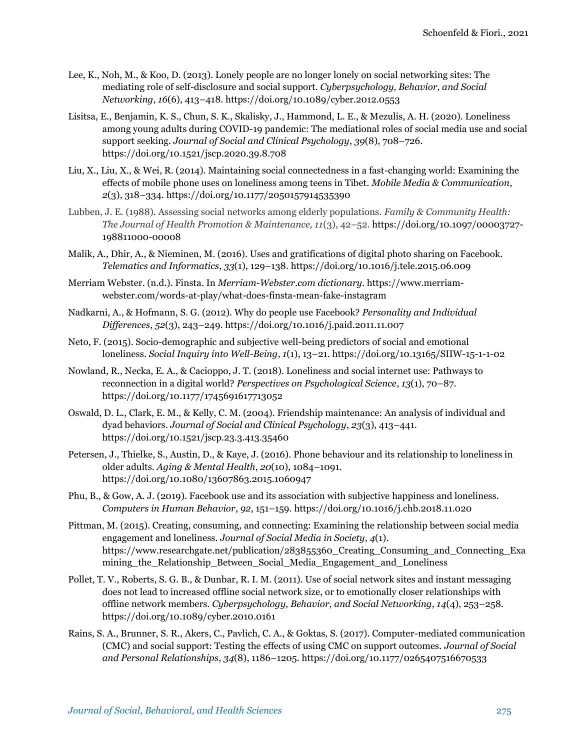- Lee, K., Noh, M., & Koo, D. (2013). Lonely people are no longer lonely on social networking sites: The mediating role of self-disclosure and social support. *Cyberpsychology, Behavior, and Social Networking*, *16*(6), 413–418.<https://doi.org/10.1089/cyber.2012.0553>
- Lisitsa, E., Benjamin, K. S., Chun, S. K., Skalisky, J., Hammond, L. E., & Mezulis, A. H. (2020). Loneliness among young adults during COVID-19 pandemic: The mediational roles of social media use and social support seeking. *Journal of Social and Clinical Psychology*, *39*(8), 708–726. <https://doi.org/10.1521/jscp.2020.39.8.708>
- Liu, X., Liu, X., & Wei, R. (2014). Maintaining social connectedness in a fast-changing world: Examining the effects of mobile phone uses on loneliness among teens in Tibet. *Mobile Media & Communication*, *2*(3), 318–334[. https://doi.org/10.1177/2050157914535390](https://doi.org/10.1177%2F2050157914535390)
- Lubben, J. E. (1988). Assessing social networks among elderly populations. *Family & Community Health: The Journal of Health Promotion & Maintenance, 11*(3), 42–52. [https://doi.org/10.1097/00003727-](https://psycnet.apa.org/doi/10.1097/00003727-198811000-00008) [198811000-00008](https://psycnet.apa.org/doi/10.1097/00003727-198811000-00008)
- Malik, A., Dhir, A., & Nieminen, M. (2016). Uses and gratifications of digital photo sharing on Facebook. *Telematics and Informatics*, *33*(1), 129–138.<https://doi.org/10.1016/j.tele.2015.06.009>
- Merriam Webster. (n.d.). Finsta. In *Merriam-Webster.com dictionary*[. https://www.merriam](https://www.merriam-webster.com/words-at-play/what-does-finsta-mean-fake-instagram)[webster.com/words-at-play/what-does-finsta-mean-fake-instagram](https://www.merriam-webster.com/words-at-play/what-does-finsta-mean-fake-instagram)
- Nadkarni, A., & Hofmann, S. G. (2012). Why do people use Facebook? *Personality and Individual Differences*, *52*(3), 243–249.<https://doi.org/10.1016/j.paid.2011.11.007>
- Neto, F. (2015). Socio-demographic and subjective well-being predictors of social and emotional loneliness. *Social Inquiry into Well-Being*, *1*(1), 13–21. <https://doi.org/10.13165/SIIW-15-1-1-02>
- Nowland, R., Necka, E. A., & Cacioppo, J. T. (2018). Loneliness and social internet use: Pathways to reconnection in a digital world? *Perspectives on Psychological Science*, *13*(1), 70–87. [https://doi.org/10.1177/1745691617713052](https://doi.org/10.1177%2F1745691617713052)
- Oswald, D. L., Clark, E. M., & Kelly, C. M. (2004). Friendship maintenance: An analysis of individual and dyad behaviors. *Journal of Social and Clinical Psychology*, *23*(3), 413–441. <https://doi.org/10.1521/jscp.23.3.413.35460>
- Petersen, J., Thielke, S., Austin, D., & Kaye, J. (2016). Phone behaviour and its relationship to loneliness in older adults. *Aging & Mental Health*, *20*(10), 1084–1091. <https://doi.org/10.1080/13607863.2015.1060947>
- Phu, B., & Gow, A. J. (2019). Facebook use and its association with subjective happiness and loneliness. *Computers in Human Behavior*, *92*, 151–159[. https://doi.org/10.1016/j.chb.2018.11.020](https://doi.org/10.1016/j.chb.2018.11.020)
- Pittman, M. (2015). Creating, consuming, and connecting: Examining the relationship between social media engagement and loneliness. *Journal of Social Media in Society*, *4*(1). https://www.researchgate.net/publication/283855360\_Creating\_Consuming\_and\_Connecting\_Exa mining\_the\_Relationship\_Between\_Social\_Media\_Engagement\_and\_Loneliness
- Pollet, T. V., Roberts, S. G. B., & Dunbar, R. I. M. (2011). Use of social network sites and instant messaging does not lead to increased offline social network size, or to emotionally closer relationships with offline network members. *Cyberpsychology, Behavior, and Social Networking, 14*(4), 253–258. <https://doi.org/10.1089/cyber.2010.0161>
- Rains, S. A., Brunner, S. R., Akers, C., Pavlich, C. A., & Goktas, S. (2017). Computer-mediated communication (CMC) and social support: Testing the effects of using CMC on support outcomes. *Journal of Social and Personal Relationships*, *34*(8), 1186–1205[. https://doi.org/10.1177/0265407516670533](https://doi.org/10.1177%2F0265407516670533)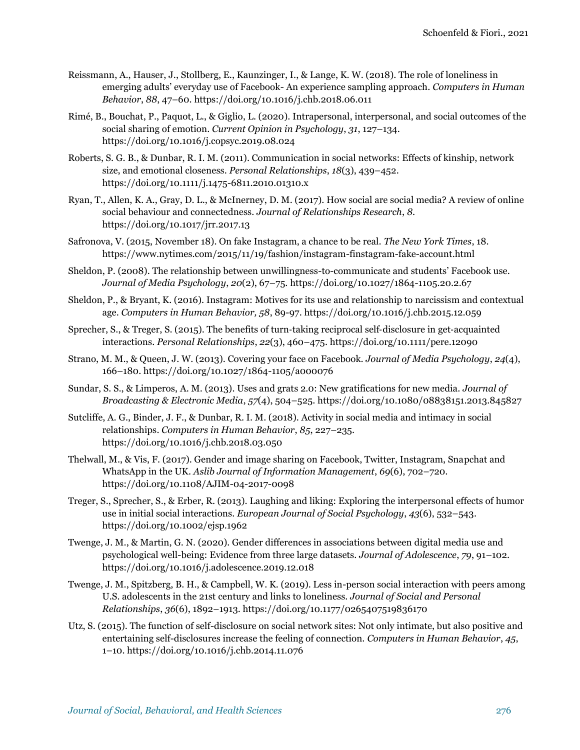- Reissmann, A., Hauser, J., Stollberg, E., Kaunzinger, I., & Lange, K. W. (2018). The role of loneliness in emerging adults' everyday use of Facebook- An experience sampling approach. *Computers in Human Behavior*, *88*, 47–60.<https://doi.org/10.1016/j.chb.2018.06.011>
- Rimé, B., Bouchat, P., Paquot, L., & Giglio, L. (2020). Intrapersonal, interpersonal, and social outcomes of the social sharing of emotion. *Current Opinion in Psychology*, *31*, 127–134. <https://doi.org/10.1016/j.copsyc.2019.08.024>
- Roberts, S. G. B., & Dunbar, R. I. M. (2011). Communication in social networks: Effects of kinship, network size, and emotional closeness. *Personal Relationships*, *18*(3), 439–452. <https://doi.org/10.1111/j.1475-6811.2010.01310.x>
- Ryan, T., Allen, K. A., Gray, D. L., & McInerney, D. M. (2017). How social are social media? A review of online social behaviour and connectedness. *Journal of Relationships Research*, *8*. <https://doi.org/10.1017/jrr.2017.13>
- Safronova, V. (2015, November 18). On fake Instagram, a chance to be real. *The New York Times*, 18. <https://www.nytimes.com/2015/11/19/fashion/instagram-finstagram-fake-account.html>
- Sheldon, P. (2008). The relationship between unwillingness-to-communicate and students' Facebook use. *Journal of Media Psychology*, *20*(2), 67–75.<https://doi.org/10.1027/1864-1105.20.2.67>
- Sheldon, P., & Bryant, K. (2016). Instagram: Motives for its use and relationship to narcissism and contextual age. *Computers in Human Behavior, 58*, 89-97.<https://doi.org/10.1016/j.chb.2015.12.059>
- Sprecher, S., & Treger, S. (2015). The benefits of turn-taking reciprocal self-disclosure in get-acquainted interactions. *Personal Relationships*, *22*(3), 460–475.<https://doi.org/10.1111/pere.12090>
- Strano, M. M., & Queen, J. W. (2013). Covering your face on Facebook. *Journal of Media Psychology*, *24*(4), 166–180[. https://doi.org/10.1027/1864-1105/a000076](https://doi.org/10.1027/1864-1105/a000076)
- Sundar, S. S., & Limperos, A. M. (2013). Uses and grats 2.0: New gratifications for new media. *Journal of Broadcasting & Electronic Media*, *57*(4), 504–525.<https://doi.org/10.1080/08838151.2013.845827>
- Sutcliffe, A. G., Binder, J. F., & Dunbar, R. I. M. (2018). Activity in social media and intimacy in social relationships. *Computers in Human Behavior*, *85*, 227–235. <https://doi.org/10.1016/j.chb.2018.03.050>
- Thelwall, M., & Vis, F. (2017). Gender and image sharing on Facebook, Twitter, Instagram, Snapchat and WhatsApp in the UK. *Aslib Journal of Information Management*, *69*(6), 702–720*.* <https://doi.org/10.1108/AJIM-04-2017-0098>
- Treger, S., Sprecher, S., & Erber, R. (2013). Laughing and liking: Exploring the interpersonal effects of humor use in initial social interactions. *European Journal of Social Psychology*, *43*(6), 532–543. <https://doi.org/10.1002/ejsp.1962>
- Twenge, J. M., & Martin, G. N. (2020). Gender differences in associations between digital media use and psychological well-being: Evidence from three large datasets. *Journal of Adolescence*, *79*, 91–102. <https://doi.org/10.1016/j.adolescence.2019.12.018>
- Twenge, J. M., Spitzberg, B. H., & Campbell, W. K. (2019). Less in-person social interaction with peers among U.S. adolescents in the 21st century and links to loneliness. *Journal of Social and Personal Relationships*, *36*(6), 1892–1913. [https://doi.org/10.1177/0265407519836170](https://doi.org/10.1177%2F0265407519836170)
- Utz, S. (2015). The function of self-disclosure on social network sites: Not only intimate, but also positive and entertaining self-disclosures increase the feeling of connection. *Computers in Human Behavior*, *45*, 1–10.<https://doi.org/10.1016/j.chb.2014.11.076>